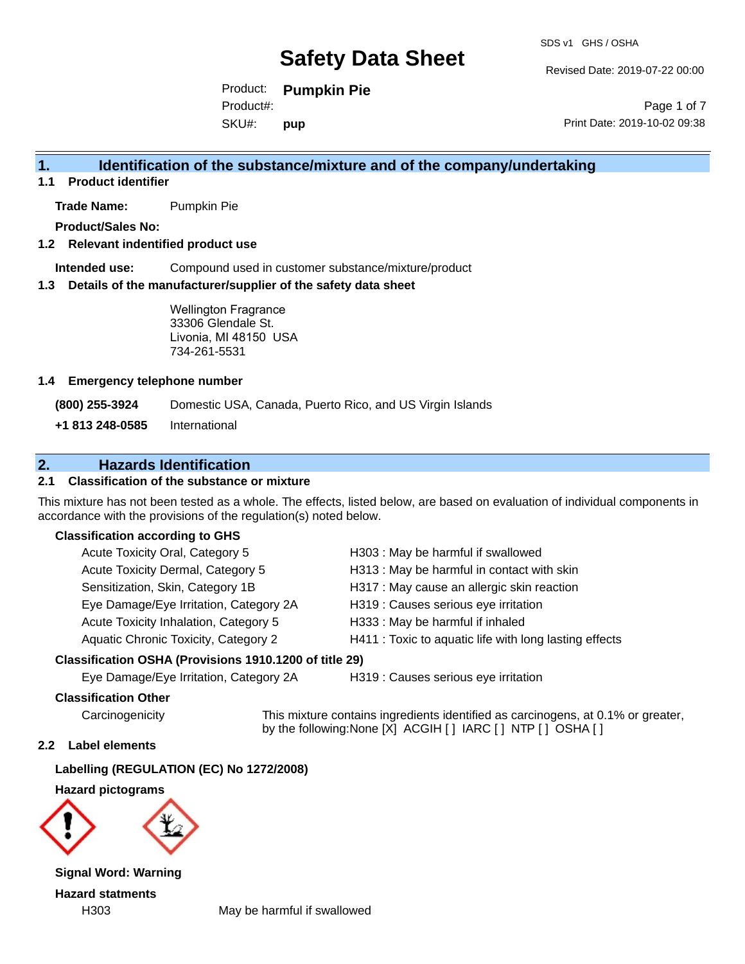Revised Date: 2019-07-22 00:00

Product: **Pumpkin Pie** SKU#: Product#: **pup**

Page 1 of 7 Print Date: 2019-10-02 09:38

# **1. Identification of the substance/mixture and of the company/undertaking**

**1.1 Product identifier**

**Trade Name:** Pumpkin Pie

**Product/Sales No:**

#### **1.2 Relevant indentified product use**

**Intended use:** Compound used in customer substance/mixture/product

#### **1.3 Details of the manufacturer/supplier of the safety data sheet**

Wellington Fragrance 33306 Glendale St. Livonia, MI 48150 USA 734-261-5531

#### **1.4 Emergency telephone number**

**(800) 255-3924** Domestic USA, Canada, Puerto Rico, and US Virgin Islands

**+1 813 248-0585** International

# **2. Hazards Identification**

#### **2.1 Classification of the substance or mixture**

This mixture has not been tested as a whole. The effects, listed below, are based on evaluation of individual components in accordance with the provisions of the regulation(s) noted below.

#### **Classification according to GHS**

| Acute Toxicity Oral, Category 5        | H303 : May be harmful if swallowed                     |
|----------------------------------------|--------------------------------------------------------|
| Acute Toxicity Dermal, Category 5      | H313 : May be harmful in contact with skin             |
| Sensitization, Skin, Category 1B       | H317 : May cause an allergic skin reaction             |
| Eye Damage/Eye Irritation, Category 2A | H319 : Causes serious eye irritation                   |
| Acute Toxicity Inhalation, Category 5  | H333: May be harmful if inhaled                        |
| Aquatic Chronic Toxicity, Category 2   | H411 : Toxic to aquatic life with long lasting effects |

#### **Classification OSHA (Provisions 1910.1200 of title 29)**

Eye Damage/Eye Irritation, Category 2A H319 : Causes serious eye irritation

#### **Classification Other**

Carcinogenicity This mixture contains ingredients identified as carcinogens, at 0.1% or greater, by the following:None [X] ACGIH [ ] IARC [ ] NTP [ ] OSHA [ ]

#### **2.2 Label elements**

**Labelling (REGULATION (EC) No 1272/2008)**

**Hazard pictograms**



**Signal Word: Warning Hazard statments**

H303 May be harmful if swallowed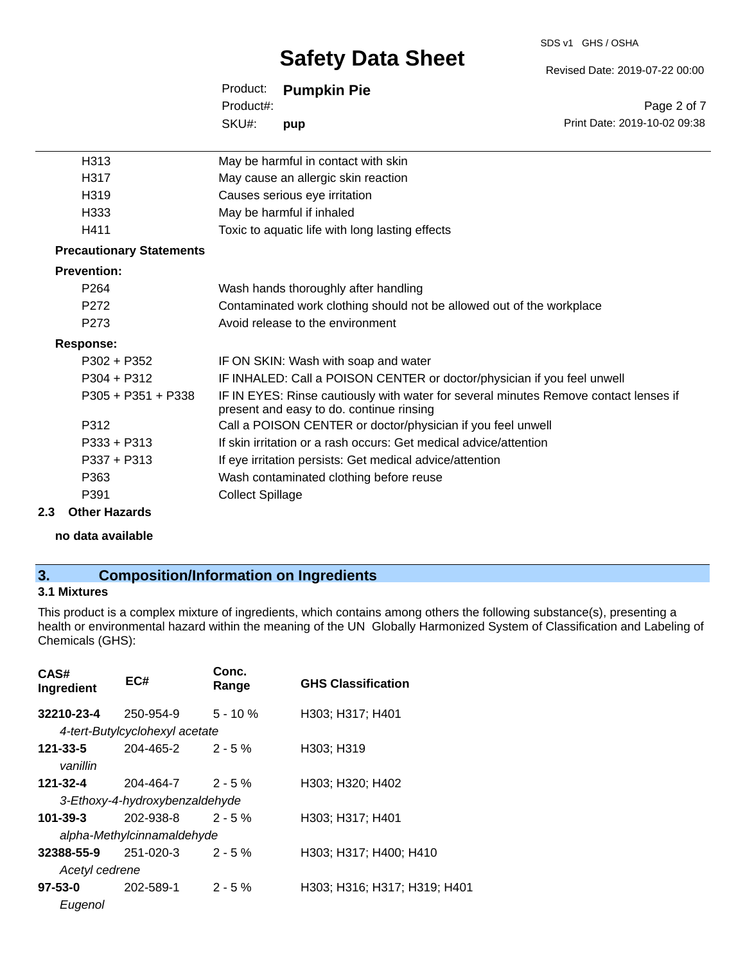#### SDS v1 GHS / OSHA

# **Safety Data Sheet**

Revised Date: 2019-07-22 00:00

Print Date: 2019-10-02 09:38

Page 2 of 7

|           | Product: Pumpkin Pie |
|-----------|----------------------|
| Product#: |                      |
| SKU#:     | pup                  |

| H313                            | May be harmful in contact with skin                                                                                              |
|---------------------------------|----------------------------------------------------------------------------------------------------------------------------------|
| H317                            | May cause an allergic skin reaction                                                                                              |
| H319                            | Causes serious eye irritation                                                                                                    |
| H333                            | May be harmful if inhaled                                                                                                        |
| H411                            | Toxic to aquatic life with long lasting effects                                                                                  |
| <b>Precautionary Statements</b> |                                                                                                                                  |
| <b>Prevention:</b>              |                                                                                                                                  |
| P <sub>264</sub>                | Wash hands thoroughly after handling                                                                                             |
| P272                            | Contaminated work clothing should not be allowed out of the workplace                                                            |
| P <sub>273</sub>                | Avoid release to the environment                                                                                                 |
| <b>Response:</b>                |                                                                                                                                  |
| $P302 + P352$                   | IF ON SKIN: Wash with soap and water                                                                                             |
| $P304 + P312$                   | IF INHALED: Call a POISON CENTER or doctor/physician if you feel unwell                                                          |
| $P305 + P351 + P338$            | IF IN EYES: Rinse cautiously with water for several minutes Remove contact lenses if<br>present and easy to do. continue rinsing |
| P312                            | Call a POISON CENTER or doctor/physician if you feel unwell                                                                      |
| $P333 + P313$                   | If skin irritation or a rash occurs: Get medical advice/attention                                                                |
| $P337 + P313$                   | If eye irritation persists: Get medical advice/attention                                                                         |
| P363                            | Wash contaminated clothing before reuse                                                                                          |
| P391                            | <b>Collect Spillage</b>                                                                                                          |

#### **2.3 Other Hazards**

**no data available**

# **3. Composition/Information on Ingredients**

### **3.1 Mixtures**

This product is a complex mixture of ingredients, which contains among others the following substance(s), presenting a health or environmental hazard within the meaning of the UN Globally Harmonized System of Classification and Labeling of Chemicals (GHS):

| CAS#<br>Ingredient             | EC#                            | Conc.<br>Range | <b>GHS Classification</b>    |
|--------------------------------|--------------------------------|----------------|------------------------------|
| 32210-23-4                     | 250-954-9                      | $5 - 10%$      | H303; H317; H401             |
|                                | 4-tert-Butylcyclohexyl acetate |                |                              |
| 121-33-5                       | 204-465-2                      | $2 - 5\%$      | H303; H319                   |
| vanillin                       |                                |                |                              |
| 121-32-4                       | 204-464-7                      | $2 - 5%$       | H303; H320; H402             |
| 3-Ethoxy-4-hydroxybenzaldehyde |                                |                |                              |
| 101-39-3                       | 202-938-8                      | $2 - 5%$       | H303; H317; H401             |
| alpha-Methylcinnamaldehyde     |                                |                |                              |
| 32388-55-9                     | 251-020-3                      | $2 - 5%$       | H303; H317; H400; H410       |
| Acetyl cedrene                 |                                |                |                              |
| 97-53-0                        | 202-589-1                      | $2 - 5%$       | H303; H316; H317; H319; H401 |
| Eugenol                        |                                |                |                              |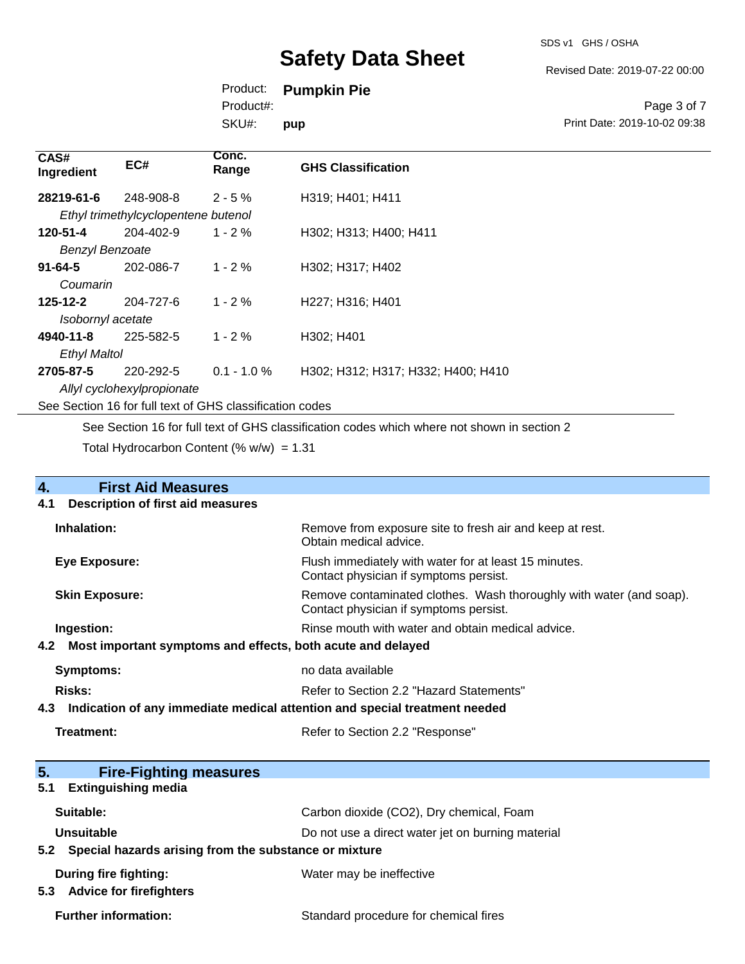SDS v1 GHS / OSHA

Revised Date: 2019-07-22 00:00

Print Date: 2019-10-02 09:38

Page 3 of 7

Product: **Pumpkin Pie**

Product#:

SKU#: **pup**

| CAS#<br>Ingredient                                       | EC#                                 | Conc.<br>Range | <b>GHS Classification</b>          |
|----------------------------------------------------------|-------------------------------------|----------------|------------------------------------|
| 28219-61-6                                               | 248-908-8                           | $2 - 5%$       | H319; H401; H411                   |
|                                                          | Ethyl trimethylcyclopentene butenol |                |                                    |
| 120-51-4                                                 | 204-402-9                           | $1 - 2 \%$     | H302; H313; H400; H411             |
| <b>Benzyl Benzoate</b>                                   |                                     |                |                                    |
| $91 - 64 - 5$                                            | 202-086-7                           | $1 - 2 \%$     | H302; H317; H402                   |
| Coumarin                                                 |                                     |                |                                    |
| $125 - 12 - 2$                                           | 204-727-6                           | $1 - 2 \%$     | H227; H316; H401                   |
| Isobornyl acetate                                        |                                     |                |                                    |
| 4940-11-8                                                | 225-582-5                           | $1 - 2 \%$     | H302; H401                         |
| <b>Ethyl Maltol</b>                                      |                                     |                |                                    |
| 2705-87-5                                                | 220-292-5                           | $0.1 - 1.0 %$  | H302; H312; H317; H332; H400; H410 |
| Allyl cyclohexylpropionate                               |                                     |                |                                    |
| See Section 16 for full text of GHS classification codes |                                     |                |                                    |

See Section 16 for full text of GHS classification codes which where not shown in section 2

Total Hydrocarbon Content (%  $w/w$ ) = 1.31

| 4.                                                                                | <b>First Aid Measures</b>                                 |                                                                                                               |
|-----------------------------------------------------------------------------------|-----------------------------------------------------------|---------------------------------------------------------------------------------------------------------------|
| 4.1                                                                               | <b>Description of first aid measures</b>                  |                                                                                                               |
|                                                                                   | Inhalation:                                               | Remove from exposure site to fresh air and keep at rest.<br>Obtain medical advice.                            |
|                                                                                   | <b>Eye Exposure:</b>                                      | Flush immediately with water for at least 15 minutes.<br>Contact physician if symptoms persist.               |
|                                                                                   | <b>Skin Exposure:</b>                                     | Remove contaminated clothes. Wash thoroughly with water (and soap).<br>Contact physician if symptoms persist. |
|                                                                                   | Ingestion:                                                | Rinse mouth with water and obtain medical advice.                                                             |
| Most important symptoms and effects, both acute and delayed<br>4.2                |                                                           |                                                                                                               |
|                                                                                   | <b>Symptoms:</b>                                          | no data available                                                                                             |
| <b>Risks:</b>                                                                     |                                                           | Refer to Section 2.2 "Hazard Statements"                                                                      |
| Indication of any immediate medical attention and special treatment needed<br>4.3 |                                                           |                                                                                                               |
|                                                                                   | <b>Treatment:</b>                                         | Refer to Section 2.2 "Response"                                                                               |
| 5.                                                                                | <b>Fire-Fighting measures</b>                             |                                                                                                               |
| 5.1                                                                               | <b>Extinguishing media</b>                                |                                                                                                               |
|                                                                                   | Suitable:                                                 | Carbon dioxide (CO2), Dry chemical, Foam                                                                      |
|                                                                                   | <b>Unsuitable</b>                                         | Do not use a direct water jet on burning material                                                             |
|                                                                                   | 5.2 Special hazards arising from the substance or mixture |                                                                                                               |
|                                                                                   | <b>During fire fighting:</b>                              | Water may be ineffective                                                                                      |

**5.3 Advice for firefighters**

Further information: **Further information:** Standard procedure for chemical fires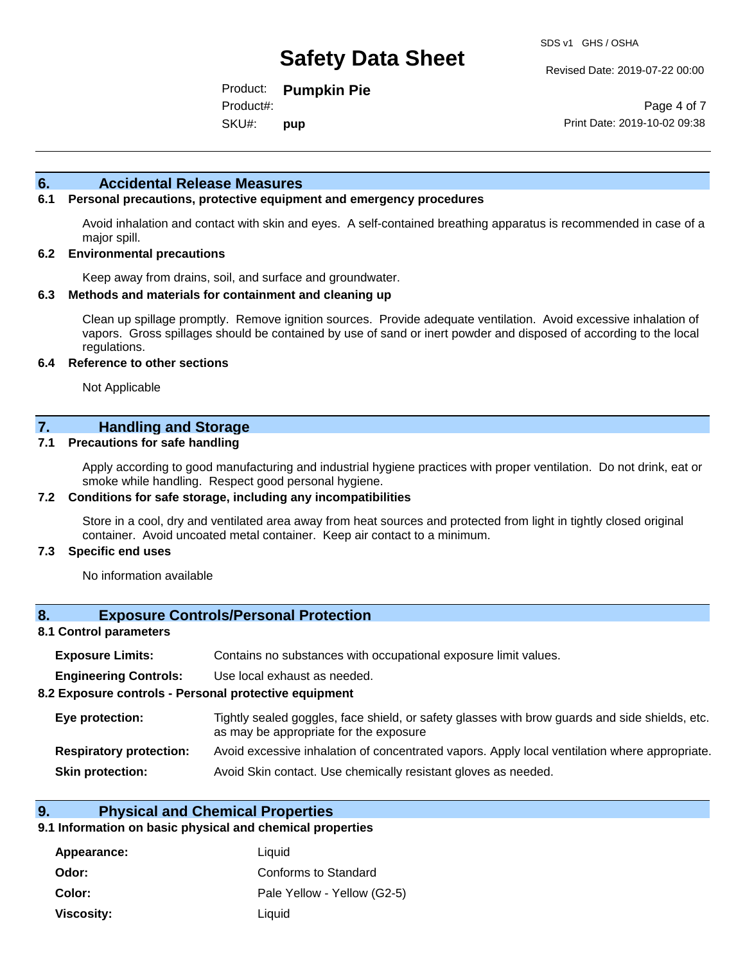Revised Date: 2019-07-22 00:00

Product: **Pumpkin Pie** SKU#: Product#: **pup**

Page 4 of 7 Print Date: 2019-10-02 09:38

#### **6. Accidental Release Measures**

#### **6.1 Personal precautions, protective equipment and emergency procedures**

Avoid inhalation and contact with skin and eyes. A self-contained breathing apparatus is recommended in case of a major spill.

#### **6.2 Environmental precautions**

Keep away from drains, soil, and surface and groundwater.

#### **6.3 Methods and materials for containment and cleaning up**

Clean up spillage promptly. Remove ignition sources. Provide adequate ventilation. Avoid excessive inhalation of vapors. Gross spillages should be contained by use of sand or inert powder and disposed of according to the local regulations.

#### **6.4 Reference to other sections**

Not Applicable

### **7. Handling and Storage**

#### **7.1 Precautions for safe handling**

Apply according to good manufacturing and industrial hygiene practices with proper ventilation. Do not drink, eat or smoke while handling. Respect good personal hygiene.

#### **7.2 Conditions for safe storage, including any incompatibilities**

Store in a cool, dry and ventilated area away from heat sources and protected from light in tightly closed original container. Avoid uncoated metal container. Keep air contact to a minimum.

#### **7.3 Specific end uses**

No information available

#### **8. Exposure Controls/Personal Protection**

#### **8.1 Control parameters**

| <b>Exposure Limits:</b><br>Contains no substances with occupational exposure limit values. |
|--------------------------------------------------------------------------------------------|
|--------------------------------------------------------------------------------------------|

**Engineering Controls:** Use local exhaust as needed.

#### **8.2 Exposure controls - Personal protective equipment**

| Eye protection:                | Tightly sealed goggles, face shield, or safety glasses with brow guards and side shields, etc.<br>as may be appropriate for the exposure |
|--------------------------------|------------------------------------------------------------------------------------------------------------------------------------------|
| <b>Respiratory protection:</b> | Avoid excessive inhalation of concentrated vapors. Apply local ventilation where appropriate.                                            |
| <b>Skin protection:</b>        | Avoid Skin contact. Use chemically resistant gloves as needed.                                                                           |

### **9. Physical and Chemical Properties**

#### **9.1 Information on basic physical and chemical properties**

| Appearance: | Liquid                      |
|-------------|-----------------------------|
| Odor:       | Conforms to Standard        |
| Color:      | Pale Yellow - Yellow (G2-5) |
| Viscosity:  | Liquid                      |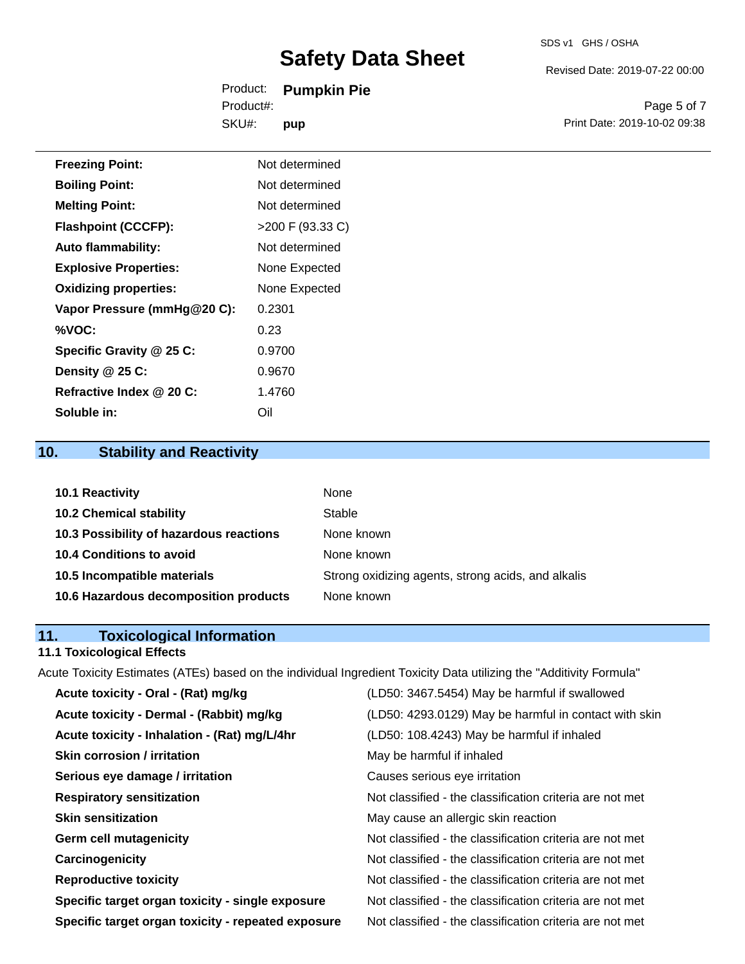Revised Date: 2019-07-22 00:00

Product: **Pumpkin Pie** SKU#: Product#: **pup**

Page 5 of 7 Print Date: 2019-10-02 09:38

| <b>Freezing Point:</b>       | Not determined   |
|------------------------------|------------------|
| <b>Boiling Point:</b>        | Not determined   |
| <b>Melting Point:</b>        | Not determined   |
| <b>Flashpoint (CCCFP):</b>   | >200 F (93.33 C) |
| <b>Auto flammability:</b>    | Not determined   |
| <b>Explosive Properties:</b> | None Expected    |
| <b>Oxidizing properties:</b> | None Expected    |
| Vapor Pressure (mmHg@20 C):  | 0.2301           |
| %VOC:                        | 0.23             |
| Specific Gravity @ 25 C:     | 0.9700           |
| Density @ 25 C:              | 0.9670           |
| Refractive Index @ 20 C:     | 1.4760           |
| Soluble in:                  | Oil              |

# **10. Stability and Reactivity**

| <b>10.1 Reactivity</b>                  | <b>None</b>                                        |
|-----------------------------------------|----------------------------------------------------|
| <b>10.2 Chemical stability</b>          | Stable                                             |
| 10.3 Possibility of hazardous reactions | None known                                         |
| <b>10.4 Conditions to avoid</b>         | None known                                         |
| 10.5 Incompatible materials             | Strong oxidizing agents, strong acids, and alkalis |
| 10.6 Hazardous decomposition products   | None known                                         |

# **11. Toxicological Information**

# **11.1 Toxicological Effects**

Acute Toxicity Estimates (ATEs) based on the individual Ingredient Toxicity Data utilizing the "Additivity Formula"

| (LD50: 3467.5454) May be harmful if swallowed            |
|----------------------------------------------------------|
| (LD50: 4293.0129) May be harmful in contact with skin    |
| (LD50: 108.4243) May be harmful if inhaled               |
| May be harmful if inhaled                                |
| Causes serious eye irritation                            |
| Not classified - the classification criteria are not met |
| May cause an allergic skin reaction                      |
| Not classified - the classification criteria are not met |
| Not classified - the classification criteria are not met |
| Not classified - the classification criteria are not met |
| Not classified - the classification criteria are not met |
| Not classified - the classification criteria are not met |
|                                                          |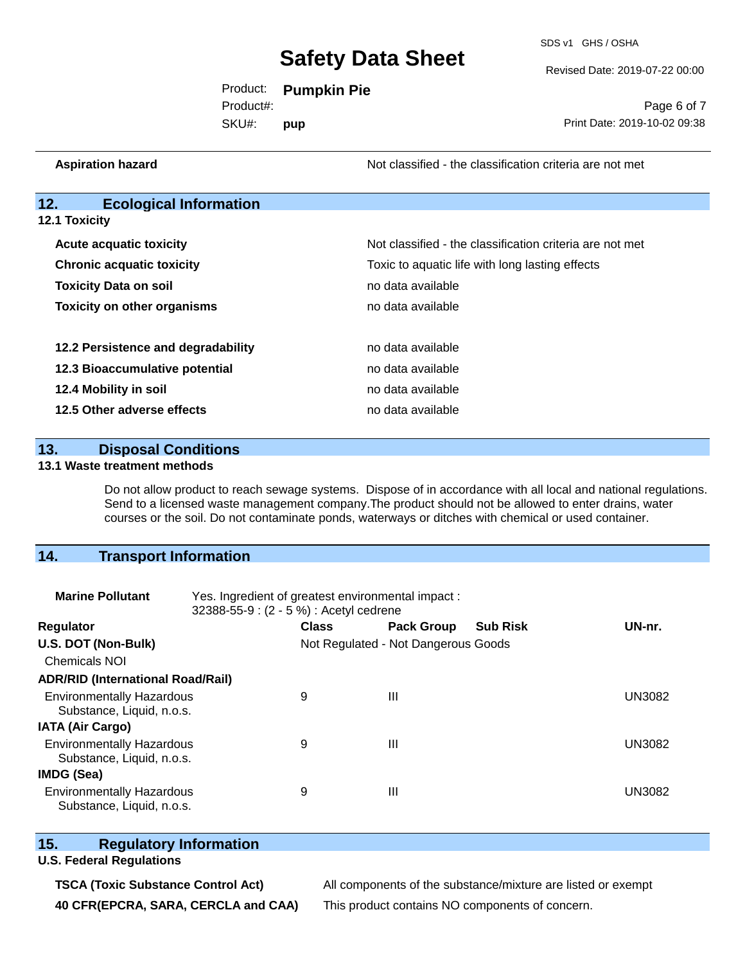SDS v1 GHS / OSHA

Revised Date: 2019-07-22 00:00

Product: **Pumpkin Pie** SKU#: Product#: **pup**

Page 6 of 7 Print Date: 2019-10-02 09:38

**12. Ecological Information 12.1 Toxicity Acute acquatic toxicity** Not classified - the classification criteria are not met **Chronic acquatic toxicity Toxic is a Toxic to aquatic life with long lasting effects Toxicity Data on soil no data available no data available Toxicity on other organisms** no data available **12.2 Persistence and degradability no data available 12.3 Bioaccumulative potential** no data available **12.4 Mobility in soil 12.4 Mobility in soil 12.5 Other adverse effects no data available** no data available

**Aspiration hazard Not classified - the classification criteria are not met** Not classified - the classification criteria are not met

**13. Disposal Conditions** 

#### **13.1 Waste treatment methods**

Do not allow product to reach sewage systems. Dispose of in accordance with all local and national regulations. Send to a licensed waste management company.The product should not be allowed to enter drains, water courses or the soil. Do not contaminate ponds, waterways or ditches with chemical or used container.

### **14. Transport Information**

| <b>Marine Pollutant</b>                                       | Yes. Ingredient of greatest environmental impact:<br>32388-55-9: (2 - 5 %) : Acetyl cedrene |              |                                     |                 |               |
|---------------------------------------------------------------|---------------------------------------------------------------------------------------------|--------------|-------------------------------------|-----------------|---------------|
| <b>Regulator</b>                                              |                                                                                             | <b>Class</b> | <b>Pack Group</b>                   | <b>Sub Risk</b> | UN-nr.        |
| U.S. DOT (Non-Bulk)                                           |                                                                                             |              | Not Regulated - Not Dangerous Goods |                 |               |
| <b>Chemicals NOI</b>                                          |                                                                                             |              |                                     |                 |               |
| <b>ADR/RID (International Road/Rail)</b>                      |                                                                                             |              |                                     |                 |               |
| <b>Environmentally Hazardous</b><br>Substance, Liquid, n.o.s. |                                                                                             | 9            | Ш                                   |                 | <b>UN3082</b> |
| <b>IATA (Air Cargo)</b>                                       |                                                                                             |              |                                     |                 |               |
| <b>Environmentally Hazardous</b><br>Substance, Liquid, n.o.s. |                                                                                             | 9            | Ш                                   |                 | <b>UN3082</b> |
| <b>IMDG (Sea)</b>                                             |                                                                                             |              |                                     |                 |               |
| <b>Environmentally Hazardous</b><br>Substance, Liquid, n.o.s. |                                                                                             | 9            | Ш                                   |                 | <b>UN3082</b> |

### **15. Regulatory Information**

### **U.S. Federal Regulations**

**TSCA (Toxic Substance Control Act)** All components of the substance/mixture are listed or exempt **40 CFR(EPCRA, SARA, CERCLA and CAA)** This product contains NO components of concern.